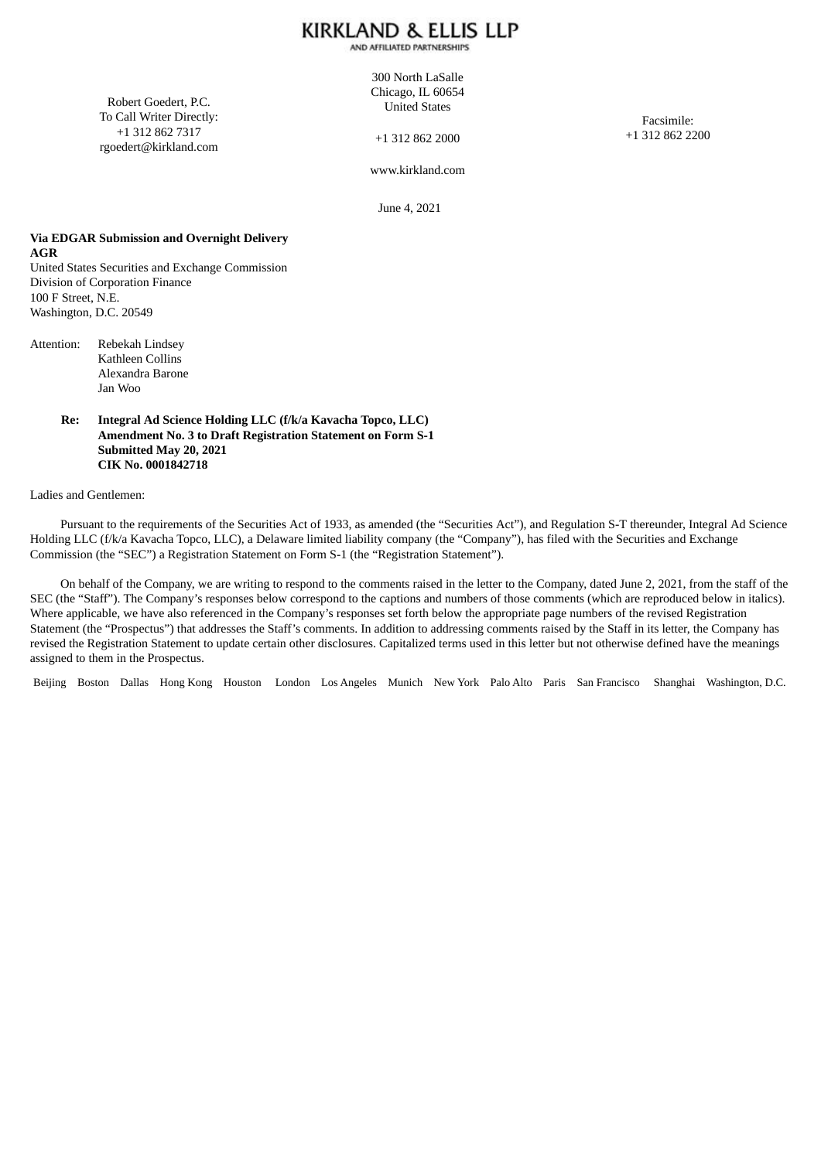AND AFFILIATED PARTNERSHIPS

Robert Goedert, P.C. To Call Writer Directly: +1 312 862 7317 rgoedert@kirkland.com

300 North LaSalle Chicago, IL 60654 United States

+1 312 862 2000

Facsimile: +1 312 862 2200

www.kirkland.com

June 4, 2021

#### **Via EDGAR Submission and Overnight Delivery AGR**

United States Securities and Exchange Commission Division of Corporation Finance 100 F Street, N.E. Washington, D.C. 20549

Attention: Rebekah Lindsey Kathleen Collins Alexandra Barone Jan Woo

#### **Re: Integral Ad Science Holding LLC (f/k/a Kavacha Topco, LLC) Amendment No. 3 to Draft Registration Statement on Form S-1 Submitted May 20, 2021 CIK No. 0001842718**

#### Ladies and Gentlemen:

Pursuant to the requirements of the Securities Act of 1933, as amended (the "Securities Act"), and Regulation S-T thereunder, Integral Ad Science Holding LLC (f/k/a Kavacha Topco, LLC), a Delaware limited liability company (the "Company"), has filed with the Securities and Exchange Commission (the "SEC") a Registration Statement on Form S-1 (the "Registration Statement").

On behalf of the Company, we are writing to respond to the comments raised in the letter to the Company, dated June 2, 2021, from the staff of the SEC (the "Staff"). The Company's responses below correspond to the captions and numbers of those comments (which are reproduced below in italics). Where applicable, we have also referenced in the Company's responses set forth below the appropriate page numbers of the revised Registration Statement (the "Prospectus") that addresses the Staff's comments. In addition to addressing comments raised by the Staff in its letter, the Company has revised the Registration Statement to update certain other disclosures. Capitalized terms used in this letter but not otherwise defined have the meanings assigned to them in the Prospectus.

Beijing Boston Dallas Hong Kong Houston London Los Angeles Munich New York Palo Alto Paris San Francisco Shanghai Washington, D.C.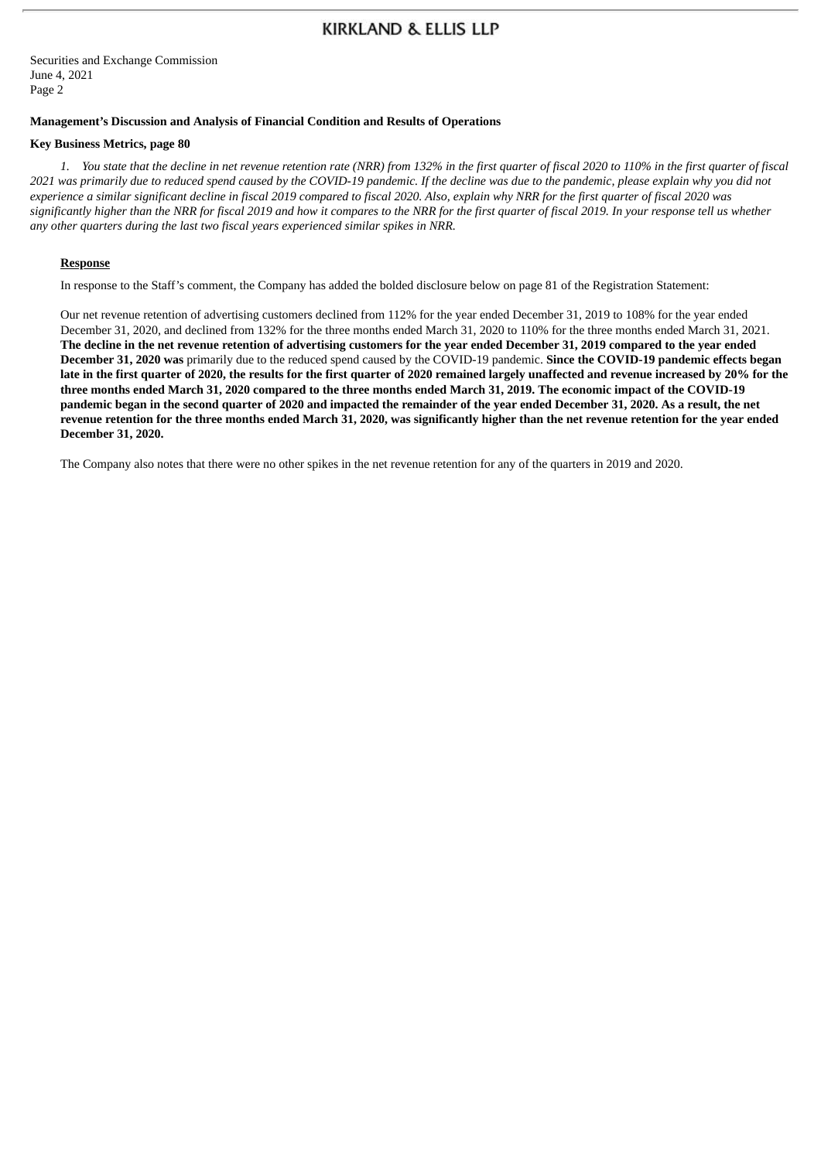Securities and Exchange Commission June 4, 2021 Page 2

#### **Management's Discussion and Analysis of Financial Condition and Results of Operations**

#### **Key Business Metrics, page 80**

1. You state that the decline in net revenue retention rate (NRR) from 132% in the first quarter of fiscal 2020 to 110% in the first quarter of fiscal 2021 was primarily due to reduced spend caused by the COVID-19 pandemic. If the decline was due to the pandemic, please explain why you did not experience a similar significant decline in fiscal 2019 compared to fiscal 2020. Also, explain why NRR for the first quarter of fiscal 2020 was significantly higher than the NRR for fiscal 2019 and how it compares to the NRR for the first quarter of fiscal 2019. In your response tell us whether *any other quarters during the last two fiscal years experienced similar spikes in NRR.*

#### **Response**

In response to the Staff's comment, the Company has added the bolded disclosure below on page 81 of the Registration Statement:

Our net revenue retention of advertising customers declined from 112% for the year ended December 31, 2019 to 108% for the year ended December 31, 2020, and declined from 132% for the three months ended March 31, 2020 to 110% for the three months ended March 31, 2021. The decline in the net revenue retention of advertising customers for the year ended December 31, 2019 compared to the year ended **December 31, 2020 was** primarily due to the reduced spend caused by the COVID-19 pandemic. **Since the COVID-19 pandemic effects began** late in the first quarter of 2020, the results for the first quarter of 2020 remained largely unaffected and revenue increased by 20% for the three months ended March 31, 2020 compared to the three months ended March 31, 2019. The economic impact of the COVID-19 pandemic began in the second quarter of 2020 and impacted the remainder of the year ended December 31, 2020. As a result, the net revenue retention for the three months ended March 31, 2020, was significantly higher than the net revenue retention for the year ended **December 31, 2020.**

The Company also notes that there were no other spikes in the net revenue retention for any of the quarters in 2019 and 2020.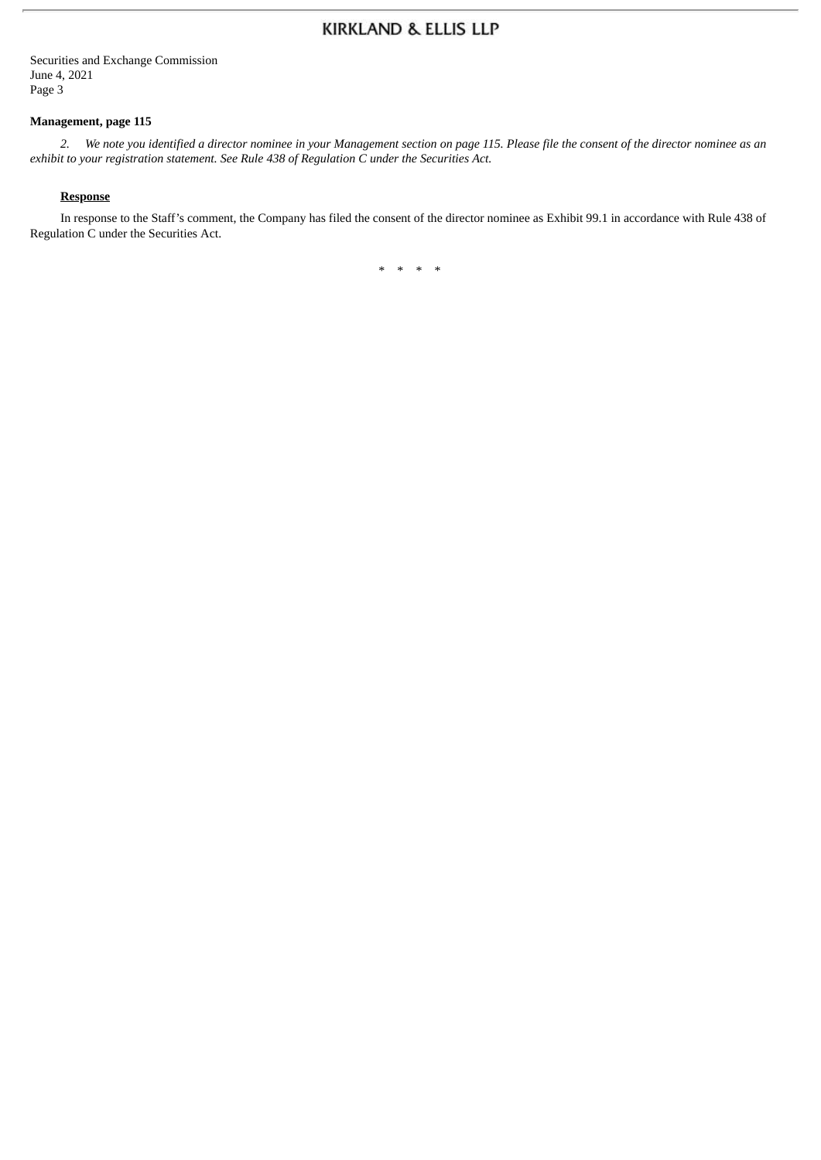Securities and Exchange Commission June 4, 2021 Page 3

### **Management, page 115**

2. We note you identified a director nominee in your Management section on page 115. Please file the consent of the director nominee as an *exhibit to your registration statement. See Rule 438 of Regulation C under the Securities Act.*

#### **Response**

In response to the Staff's comment, the Company has filed the consent of the director nominee as Exhibit 99.1 in accordance with Rule 438 of Regulation C under the Securities Act.

\* \* \* \*